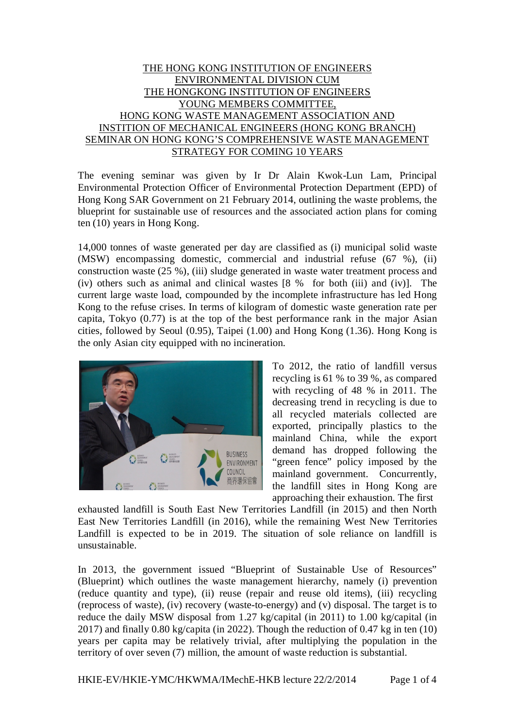# THE HONG KONG INSTITUTION OF ENGINEERS ENVIRONMENTAL DIVISION CUM THE HONGKONG INSTITUTION OF ENGINEERS YOUNG MEMBERS COMMITTEE, HONG KONG WASTE MANAGEMENT ASSOCIATION AND INSTITION OF MECHANICAL ENGINEERS (HONG KONG BRANCH) SEMINAR ON HONG KONG'S COMPREHENSIVE WASTE MANAGEMENT STRATEGY FOR COMING 10 YEARS

The evening seminar was given by Ir Dr Alain Kwok-Lun Lam, Principal Environmental Protection Officer of Environmental Protection Department (EPD) of Hong Kong SAR Government on 21 February 2014, outlining the waste problems, the blueprint for sustainable use of resources and the associated action plans for coming ten (10) years in Hong Kong.

14,000 tonnes of waste generated per day are classified as (i) municipal solid waste (MSW) encompassing domestic, commercial and industrial refuse (67 %), (ii) construction waste (25 %), (iii) sludge generated in waste water treatment process and (iv) others such as animal and clinical wastes [8 % for both (iii) and (iv)]. The current large waste load, compounded by the incomplete infrastructure has led Hong Kong to the refuse crises. In terms of kilogram of domestic waste generation rate per capita, Tokyo (0.77) is at the top of the best performance rank in the major Asian cities, followed by Seoul (0.95), Taipei (1.00) and Hong Kong (1.36). Hong Kong is the only Asian city equipped with no incineration.



To 2012, the ratio of landfill versus recycling is 61 % to 39 %, as compared with recycling of 48 % in 2011. The decreasing trend in recycling is due to all recycled materials collected are exported, principally plastics to the mainland China, while the export demand has dropped following the "green fence" policy imposed by the mainland government. Concurrently, the landfill sites in Hong Kong are approaching their exhaustion. The first

exhausted landfill is South East New Territories Landfill (in 2015) and then North East New Territories Landfill (in 2016), while the remaining West New Territories Landfill is expected to be in 2019. The situation of sole reliance on landfill is unsustainable.

In 2013, the government issued "Blueprint of Sustainable Use of Resources" (Blueprint) which outlines the waste management hierarchy, namely (i) prevention (reduce quantity and type), (ii) reuse (repair and reuse old items), (iii) recycling (reprocess of waste), (iv) recovery (waste-to-energy) and (v) disposal. The target is to reduce the daily MSW disposal from 1.27 kg/capital (in 2011) to 1.00 kg/capital (in 2017) and finally 0.80 kg/capita (in 2022). Though the reduction of 0.47 kg in ten (10) years per capita may be relatively trivial, after multiplying the population in the territory of over seven (7) million, the amount of waste reduction is substantial.

HKIE-EV/HKIE-YMC/HKWMA/IMechE-HKB lecture 22/2/2014 Page 1 of 4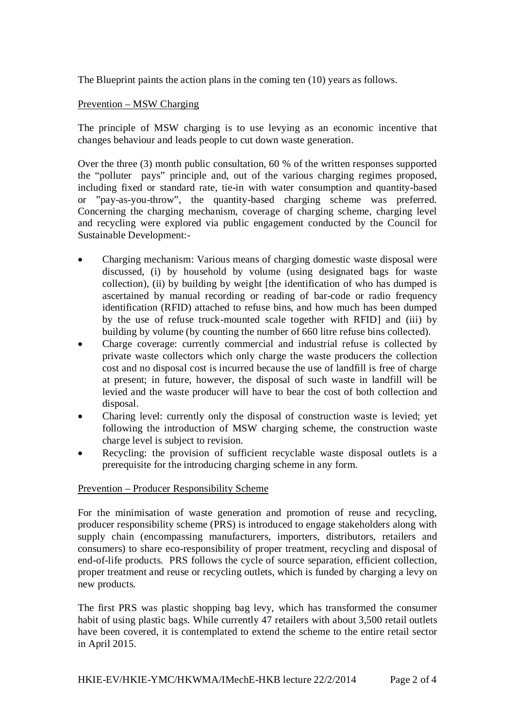The Blueprint paints the action plans in the coming ten (10) years as follows.

## Prevention – MSW Charging

The principle of MSW charging is to use levying as an economic incentive that changes behaviour and leads people to cut down waste generation.

Over the three (3) month public consultation, 60 % of the written responses supported the "polluter pays" principle and, out of the various charging regimes proposed, including fixed or standard rate, tie-in with water consumption and quantity-based or "pay-as-you-throw", the quantity-based charging scheme was preferred. Concerning the charging mechanism, coverage of charging scheme, charging level and recycling were explored via public engagement conducted by the Council for Sustainable Development:-

- Charging mechanism: Various means of charging domestic waste disposal were discussed, (i) by household by volume (using designated bags for waste collection), (ii) by building by weight [the identification of who has dumped is ascertained by manual recording or reading of bar-code or radio frequency identification (RFID) attached to refuse bins, and how much has been dumped by the use of refuse truck-mounted scale together with RFID] and (iii) by building by volume (by counting the number of 660 litre refuse bins collected).
- Charge coverage: currently commercial and industrial refuse is collected by private waste collectors which only charge the waste producers the collection cost and no disposal cost is incurred because the use of landfill is free of charge at present; in future, however, the disposal of such waste in landfill will be levied and the waste producer will have to bear the cost of both collection and disposal.
- Charing level: currently only the disposal of construction waste is levied; yet following the introduction of MSW charging scheme, the construction waste charge level is subject to revision.
- Recycling: the provision of sufficient recyclable waste disposal outlets is a prerequisite for the introducing charging scheme in any form.

## Prevention – Producer Responsibility Scheme

For the minimisation of waste generation and promotion of reuse and recycling, producer responsibility scheme (PRS) is introduced to engage stakeholders along with supply chain (encompassing manufacturers, importers, distributors, retailers and consumers) to share eco-responsibility of proper treatment, recycling and disposal of end-of-life products. PRS follows the cycle of source separation, efficient collection, proper treatment and reuse or recycling outlets, which is funded by charging a levy on new products.

The first PRS was plastic shopping bag levy, which has transformed the consumer habit of using plastic bags. While currently 47 retailers with about 3,500 retail outlets have been covered, it is contemplated to extend the scheme to the entire retail sector in April 2015.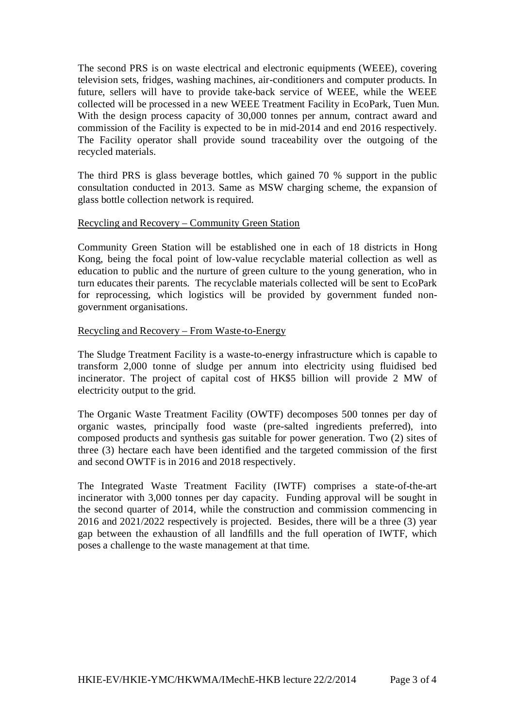The second PRS is on waste electrical and electronic equipments (WEEE), covering television sets, fridges, washing machines, air-conditioners and computer products. In future, sellers will have to provide take-back service of WEEE, while the WEEE collected will be processed in a new WEEE Treatment Facility in EcoPark, Tuen Mun. With the design process capacity of 30,000 tonnes per annum, contract award and commission of the Facility is expected to be in mid-2014 and end 2016 respectively. The Facility operator shall provide sound traceability over the outgoing of the recycled materials.

The third PRS is glass beverage bottles, which gained 70 % support in the public consultation conducted in 2013. Same as MSW charging scheme, the expansion of glass bottle collection network is required.

### Recycling and Recovery – Community Green Station

Community Green Station will be established one in each of 18 districts in Hong Kong, being the focal point of low-value recyclable material collection as well as education to public and the nurture of green culture to the young generation, who in turn educates their parents. The recyclable materials collected will be sent to EcoPark for reprocessing, which logistics will be provided by government funded nongovernment organisations.

### Recycling and Recovery – From Waste-to-Energy

The Sludge Treatment Facility is a waste-to-energy infrastructure which is capable to transform 2,000 tonne of sludge per annum into electricity using fluidised bed incinerator. The project of capital cost of HK\$5 billion will provide 2 MW of electricity output to the grid.

The Organic Waste Treatment Facility (OWTF) decomposes 500 tonnes per day of organic wastes, principally food waste (pre-salted ingredients preferred), into composed products and synthesis gas suitable for power generation. Two (2) sites of three (3) hectare each have been identified and the targeted commission of the first and second OWTF is in 2016 and 2018 respectively.

The Integrated Waste Treatment Facility (IWTF) comprises a state-of-the-art incinerator with 3,000 tonnes per day capacity. Funding approval will be sought in the second quarter of 2014, while the construction and commission commencing in 2016 and 2021/2022 respectively is projected. Besides, there will be a three (3) year gap between the exhaustion of all landfills and the full operation of IWTF, which poses a challenge to the waste management at that time.